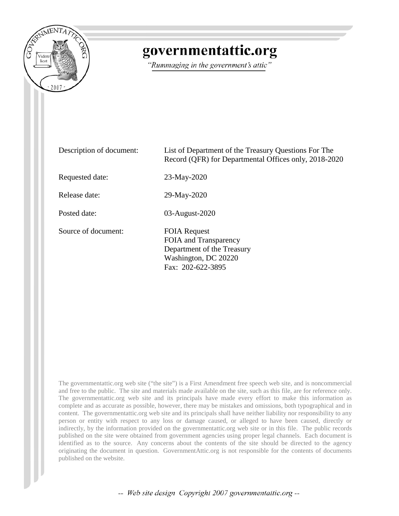

## governmentattic.org

"Rummaging in the government's attic"

| Description of document: | List of Department of the Treasury Questions For The<br>Record (QFR) for Departmental Offices only, 2018-2020           |
|--------------------------|-------------------------------------------------------------------------------------------------------------------------|
| Requested date:          | 23-May-2020                                                                                                             |
| Release date:            | 29-May-2020                                                                                                             |
| Posted date:             | 03-August-2020                                                                                                          |
| Source of document:      | <b>FOIA Request</b><br>FOIA and Transparency<br>Department of the Treasury<br>Washington, DC 20220<br>Fax: 202-622-3895 |

The governmentattic.org web site ("the site") is a First Amendment free speech web site, and is noncommercial and free to the public. The site and materials made available on the site, such as this file, are for reference only. The governmentattic.org web site and its principals have made every effort to make this information as complete and as accurate as possible, however, there may be mistakes and omissions, both typographical and in content. The governmentattic.org web site and its principals shall have neither liability nor responsibility to any person or entity with respect to any loss or damage caused, or alleged to have been caused, directly or indirectly, by the information provided on the governmentattic.org web site or in this file. The public records published on the site were obtained from government agencies using proper legal channels. Each document is identified as to the source. Any concerns about the contents of the site should be directed to the agency originating the document in question. GovernmentAttic.org is not responsible for the contents of documents published on the website.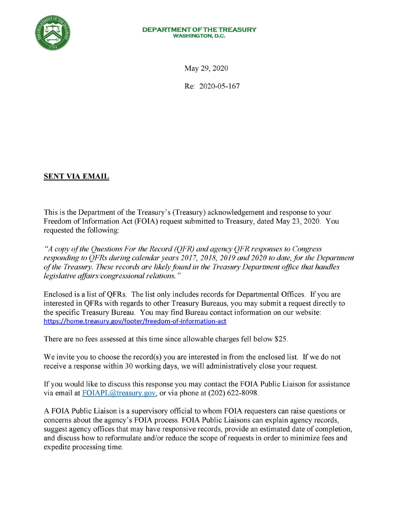

## **DEPARTMENT OF THE TREASURY WASHINGTON, D.C.**

May 29, 2020

Re: 2020-05-167

## **SENT VIA EMAIL**

This is the Department of the Treasury's (Treasury) acknowledgement and response to your Freedom of Information Act (FOIA) request submitted to Treasury, dated May 23, 2020. You requested the following:

*"A copy of the Questions For the Record (QFR) and agency QFR responses to Congress*  responding to OFRs during calendar years 2017, 2018, 2019 and 2020 to date, for the Department *of the Treasury. These records are likely found in the Treasury Department office that handles legislative affairs/congressional relations.* "

Enclosed is a list of QFRs. The list only includes records for Departmental Offices. If you are interested in QFRs with regards to other Treasury Bureaus, you may submit a request directly to the specific Treasury Bureau. You may find Bureau contact information on our website: https://home.treasury.gov/footer/freedom-of-information-act

There are no fees assessed at this time since allowable charges fell below \$25.

We invite you to choose the record(s) you are interested in from the enclosed list. If we do not receive a response within 30 working days, we will administratively close your request.

If you would like to discuss this response you may contact the FOIA Public Liaison for assistance via email at FOIAPL@treasury.gov, or via phone at (202) 622-8098.

A FOIA Public Liaison is a supervisory official to whom FOIA requesters can raise questions or concerns about the agency's FOIA process. FOIA Public Liaisons can explain agency records, suggest agency offices that may have responsive records, provide an estimated date of completion, and discuss how to reformulate and/or reduce the scope of requests in order to minimize fees and expedite processing time.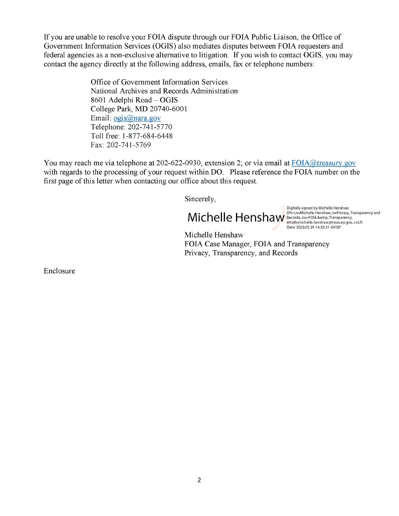If you are unable to resolve your FOIA dispute through our FOIA Public Liaison, the Office of Government Information Services (OGIS) also mediates disputes between FOIA requesters and federal agencies as a non-exclusive alternative to litigation. If you wish to contact OGIS, you may contact the agency directly at the following address, emails, fax or telephone numbers:

> Office of Government Information Services National Archives and Records Administration 8601 Adelphi Road- OGIS College Park, MD 20740-6001 Email: ogis@nara.gov Telephone: 202-741-5770 Toll free: 1-877-684-6448 Fax: 202-741-5769

You may reach me via telephone at 202-622-0930, extension 2; or via email at FOIA@treasury.gov with regards to the processing of your request within DO. Please reference the FOIA number on the first page of this letter when contacting our office about this request.

Sincerely,

Michelle Henshaw, o=Privacy, Ti<br>
entail Finichelle Henshaw, Engrancy, Transparency,<br>
Date: 2020.05.29 14:30:31 -04'00'

Digitally signed by Michelle Henshaw<br>DN: cn=Michelle Henshaw, o=Privacy, Transparency and email=michelle.henshaw@treasury.gov, c=US Date: 2020.05.29 14:30:31 -04'00'

Michelle Henshaw FOIA Case Manager, FOIA and Transparency Privacy, Transparency, and Records

Enclosure